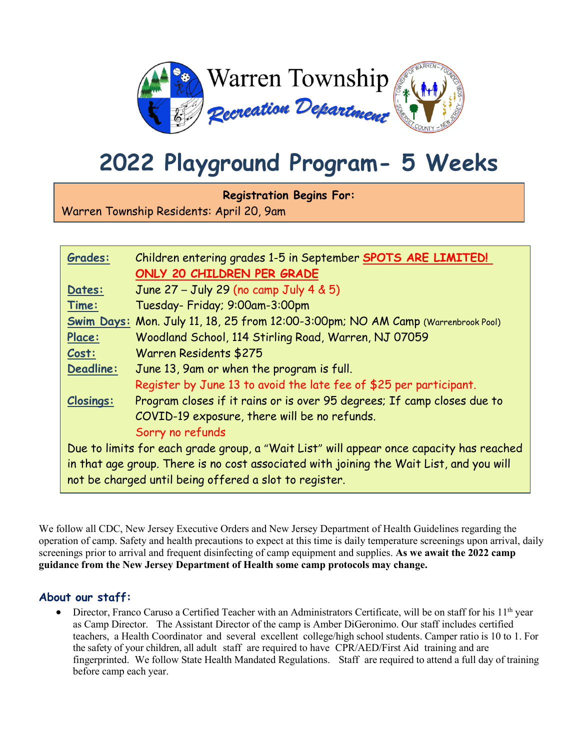

# **2022 Playground Program- 5 Weeks**

**Registration Begins For:**

Warren Township Residents: April 20, 9am

| Grades:                                                                                 | Children entering grades 1-5 in September SPOTS ARE LIMITED!                     |
|-----------------------------------------------------------------------------------------|----------------------------------------------------------------------------------|
|                                                                                         | ONLY 20 CHILDREN PER GRADE                                                       |
| Dates:                                                                                  | June 27 - July 29 (no camp July 4 & 5)                                           |
| Time:                                                                                   | Tuesday- Friday; 9:00am-3:00pm                                                   |
|                                                                                         | Swim Days: Mon. July 11, 18, 25 from 12:00-3:00pm; NO AM Camp (Warrenbrook Pool) |
| Place:                                                                                  | Woodland School, 114 Stirling Road, Warren, NJ 07059                             |
| Cost:                                                                                   | Warren Residents \$275                                                           |
| <b>Deadline:</b>                                                                        | June 13, 9am or when the program is full.                                        |
|                                                                                         | Register by June 13 to avoid the late fee of \$25 per participant.               |
| <b>Closings:</b>                                                                        | Program closes if it rains or is over 95 degrees; If camp closes due to          |
|                                                                                         | COVID-19 exposure, there will be no refunds.                                     |
|                                                                                         | Sorry no refunds                                                                 |
| Due to limits for each grade group, a "Wait List" will appear once capacity has reached |                                                                                  |
| in that age group. There is no cost associated with joining the Wait List, and you will |                                                                                  |
| not be charged until being offered a slot to register.                                  |                                                                                  |

We follow all CDC, New Jersey Executive Orders and New Jersey Department of Health Guidelines regarding the operation of camp. Safety and health precautions to expect at this time is daily temperature screenings upon arrival, daily screenings prior to arrival and frequent disinfecting of camp equipment and supplies. **As we await the 2022 camp guidance from the New Jersey Department of Health some camp protocols may change.**

### **About our staff:**

• Director, Franco Caruso a Certified Teacher with an Administrators Certificate, will be on staff for his  $11<sup>th</sup>$  year as Camp Director. The Assistant Director of the camp is Amber DiGeronimo. Our staff includes certified teachers, a Health Coordinator and several excellent college/high school students. Camper ratio is 10 to 1. For the safety of your children, all adult staff are required to have CPR/AED/First Aid training and are fingerprinted. We follow State Health Mandated Regulations. Staff are required to attend a full day of training before camp each year.